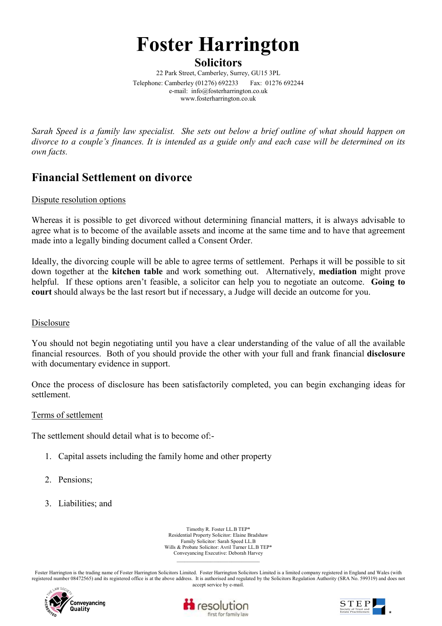# Foster Harrington

**Solicitors** 

22 Park Street, Camberley, Surrey, GU15 3PL Telephone: Camberley (01276) 692233 Fax: 01276 692244 e-mail: info@fosterharrington.co.uk www.fosterharrington.co.uk

Sarah Speed is a family law specialist. She sets out below a brief outline of what should happen on divorce to a couple's finances. It is intended as a guide only and each case will be determined on its own facts.

# Financial Settlement on divorce

# Dispute resolution options

Whereas it is possible to get divorced without determining financial matters, it is always advisable to agree what is to become of the available assets and income at the same time and to have that agreement made into a legally binding document called a Consent Order.

Ideally, the divorcing couple will be able to agree terms of settlement. Perhaps it will be possible to sit down together at the kitchen table and work something out. Alternatively, mediation might prove helpful. If these options aren't feasible, a solicitor can help you to negotiate an outcome. Going to court should always be the last resort but if necessary, a Judge will decide an outcome for you.

## Disclosure

You should not begin negotiating until you have a clear understanding of the value of all the available financial resources. Both of you should provide the other with your full and frank financial disclosure with documentary evidence in support.

Once the process of disclosure has been satisfactorily completed, you can begin exchanging ideas for settlement.

## Terms of settlement

The settlement should detail what is to become of:-

- 1. Capital assets including the family home and other property
- 2. Pensions;
- 3. Liabilities; and

Timothy R. Foster LL.B TEP\* Residential Property Solicitor: Elaine Bradshaw Family Solicitor: Sarah Speed LL.B Wills & Probate Solicitor: Avril Turner LL.B TEP\* Conveyancing Executive: Deborah Harvey  $\mathcal{L}_\text{max}$ 

Foster Harrington is the trading name of Foster Harrington Solicitors Limited. Foster Harrington Solicitors Limited is a limited company registered in England and Wales (with registered number 08472565) and its registered office is at the above address. It is authorised and regulated by the Solicitors Regulation Authority (SRA No. 599319) and does not accept service by e-mail.